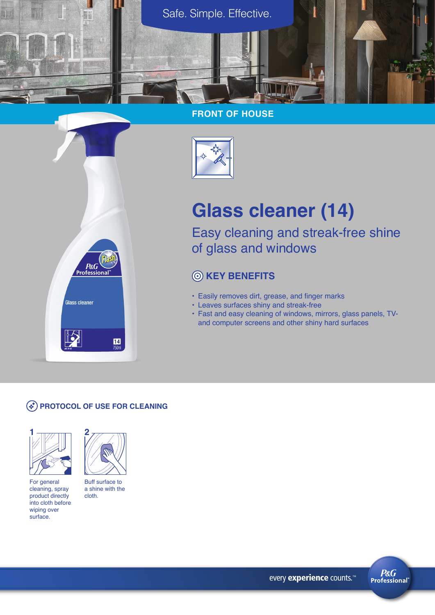

### **FRONT OF HOUSE**



# **Glass cleaner (14)**

Easy cleaning and streak-free shine of glass and windows

# **KEY BENEFITS**

- Easily removes dirt, grease, and finger marks
- Leaves surfaces shiny and streak-free
- Fast and easy cleaning of windows, mirrors, glass panels, TVand computer screens and other shiny hard surfaces

#### **PROTOCOL OF USE FOR CLEANING**

 $P&G$ <br>Professiona

Glass cleaner



For general cleaning, spray product directly into cloth before wiping over surface.



 $\frac{14}{750}$ 

Buff surface to a shine with the cloth.

every experience counts.<sup>™</sup>